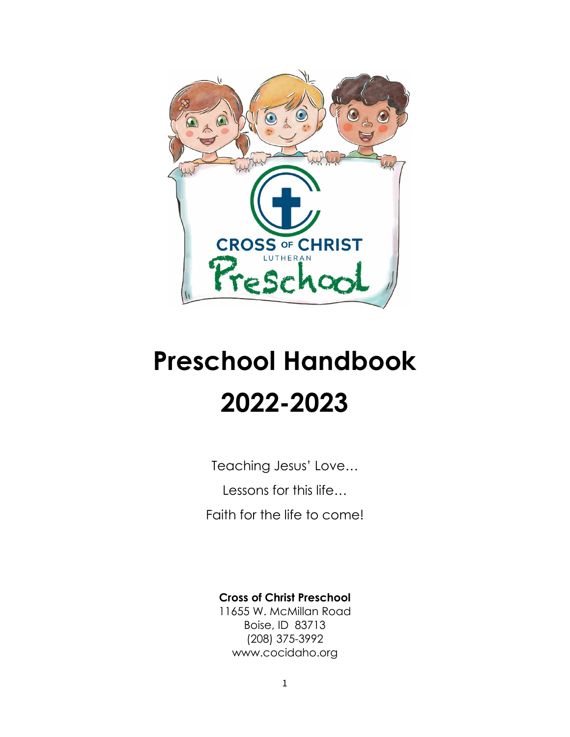

# **Preschool Handbook 2022-2023**

Teaching Jesus' Love… Lessons for this life… Faith for the life to come!

#### **Cross of Christ Preschool**

11655 W. McMillan Road Boise, ID 83713 (208) 375-3992 www.cocidaho.org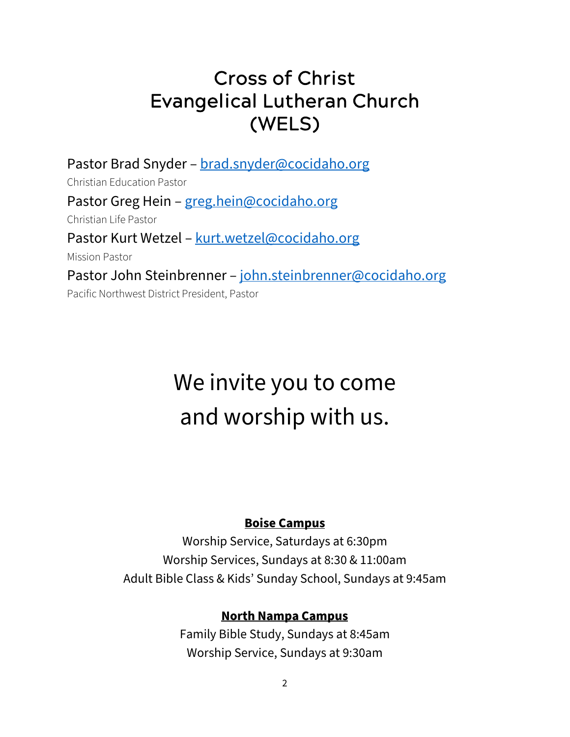#### Cross of Christ Evangelical Lutheran Church (WELS)

Pastor Brad Snyder – [brad.snyder@cocidaho.org](mailto:brad.snyder@cocidaho.org) Christian Education Pastor Pastor Greg Hein – [greg.hein@cocidaho.org](mailto:greg.hein@cocidaho.org) Christian Life Pastor Pastor Kurt Wetzel – [kurt.wetzel@cocidaho.org](mailto:kurt.wetzel@cocidaho.org) Mission Pastor Pastor John Steinbrenner – [john.steinbrenner@cocidaho.org](mailto:john.steinbrenner@cocidaho.org) Pacific Northwest District President, Pastor

# We invite you to come and worship with us.

#### **Boise Campus**

Worship Service, Saturdays at 6:30pm Worship Services, Sundays at 8:30 & 11:00am Adult Bible Class & Kids' Sunday School, Sundays at 9:45am

#### **North Nampa Campus**

Family Bible Study, Sundays at 8:45am Worship Service, Sundays at 9:30am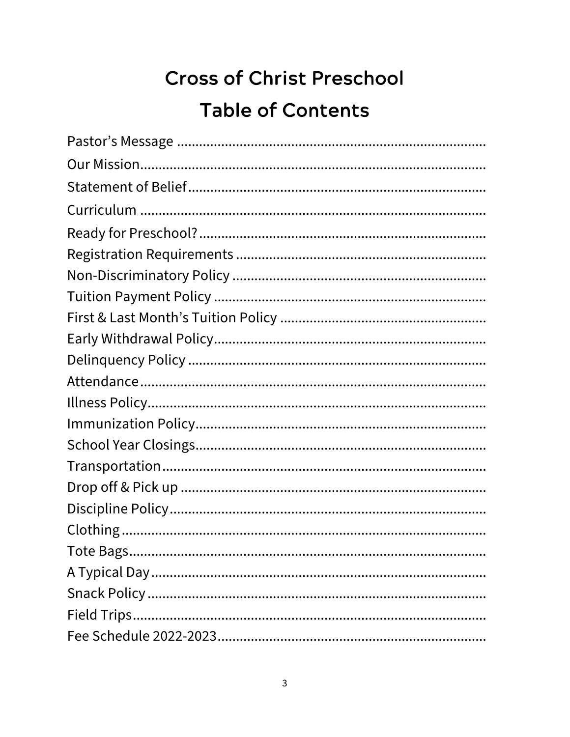# **Cross of Christ Preschool Table of Contents**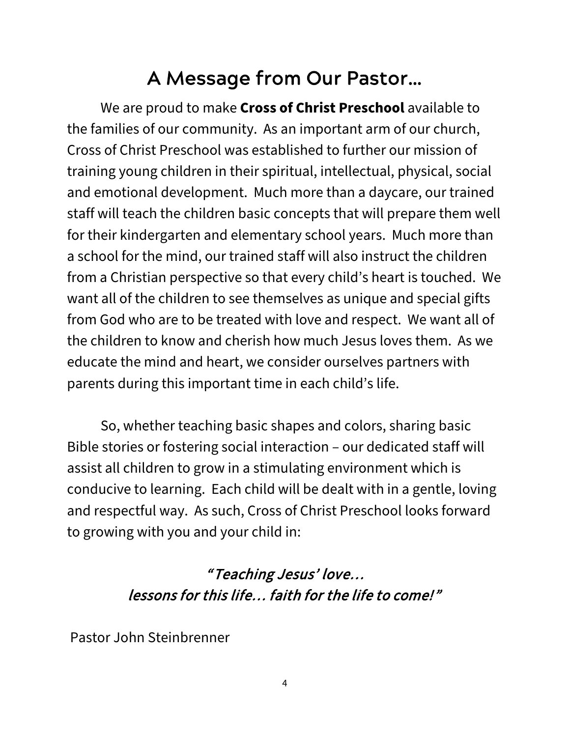### A Message from Our Pastor…

We are proud to make **Cross of Christ Preschool** available to the families of our community. As an important arm of our church, Cross of Christ Preschool was established to further our mission of training young children in their spiritual, intellectual, physical, social and emotional development. Much more than a daycare, our trained staff will teach the children basic concepts that will prepare them well for their kindergarten and elementary school years. Much more than a school for the mind, our trained staff will also instruct the children from a Christian perspective so that every child's heart is touched. We want all of the children to see themselves as unique and special gifts from God who are to be treated with love and respect. We want all of the children to know and cherish how much Jesus loves them. As we educate the mind and heart, we consider ourselves partners with parents during this important time in each child's life.

So, whether teaching basic shapes and colors, sharing basic Bible stories or fostering social interaction – our dedicated staff will assist all children to grow in a stimulating environment which is conducive to learning. Each child will be dealt with in a gentle, loving and respectful way. As such, Cross of Christ Preschool looks forward to growing with you and your child in:

#### " Teaching Jesus' love… lessons for this life… faith for the life to come!"

Pastor John Steinbrenner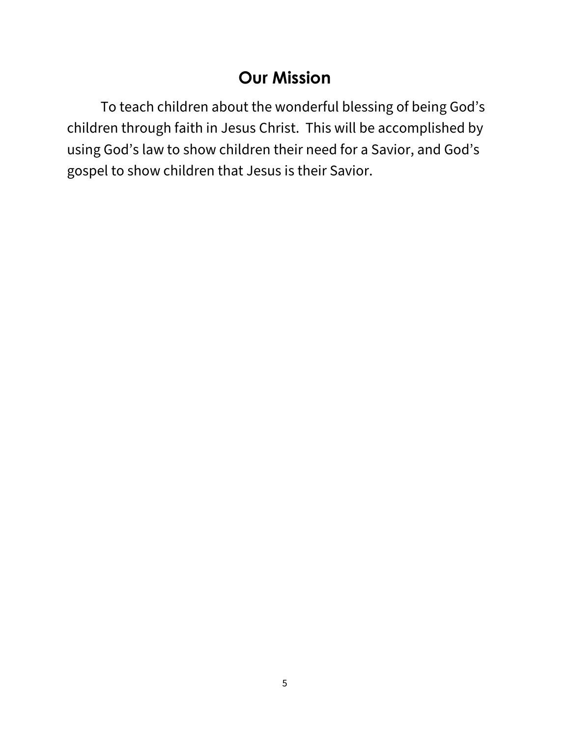#### **Our Mission**

To teach children about the wonderful blessing of being God's children through faith in Jesus Christ. This will be accomplished by using God's law to show children their need for a Savior, and God's gospel to show children that Jesus is their Savior.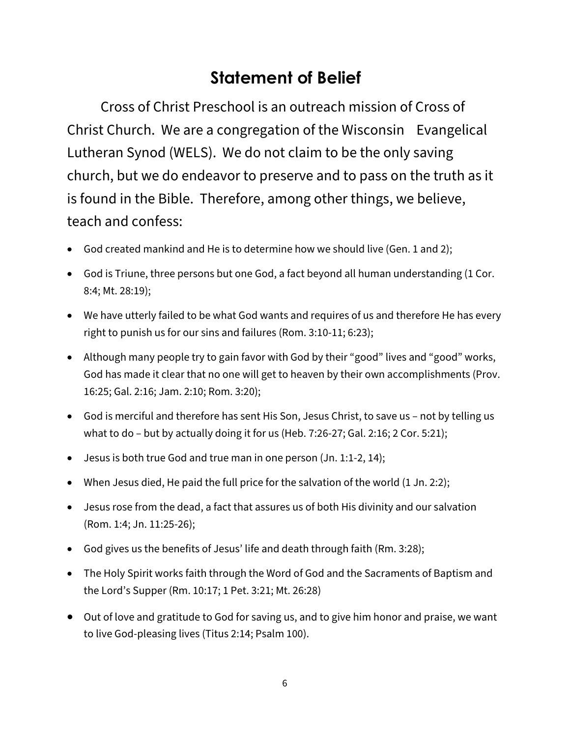#### **Statement of Belief**

Cross of Christ Preschool is an outreach mission of Cross of Christ Church. We are a congregation of the Wisconsin Evangelical Lutheran Synod (WELS). We do not claim to be the only saving church, but we do endeavor to preserve and to pass on the truth as it is found in the Bible. Therefore, among other things, we believe, teach and confess:

- God created mankind and He is to determine how we should live (Gen. 1 and 2);
- God is Triune, three persons but one God, a fact beyond all human understanding (1 Cor. 8:4; Mt. 28:19);
- We have utterly failed to be what God wants and requires of us and therefore He has every right to punish us for our sins and failures (Rom. 3:10-11; 6:23);
- Although many people try to gain favor with God by their "good" lives and "good" works, God has made it clear that no one will get to heaven by their own accomplishments (Prov. 16:25; Gal. 2:16; Jam. 2:10; Rom. 3:20);
- God is merciful and therefore has sent His Son, Jesus Christ, to save us not by telling us what to do – but by actually doing it for us (Heb. 7:26-27; Gal. 2:16; 2 Cor. 5:21);
- Jesus is both true God and true man in one person (Jn. 1:1-2, 14);
- When Jesus died, He paid the full price for the salvation of the world (1 Jn. 2:2);
- Jesus rose from the dead, a fact that assures us of both His divinity and our salvation (Rom. 1:4; Jn. 11:25-26);
- God gives us the benefits of Jesus' life and death through faith (Rm. 3:28);
- The Holy Spirit works faith through the Word of God and the Sacraments of Baptism and the Lord's Supper (Rm. 10:17; 1 Pet. 3:21; Mt. 26:28)
- Out of love and gratitude to God for saving us, and to give him honor and praise, we want to live God-pleasing lives (Titus 2:14; Psalm 100).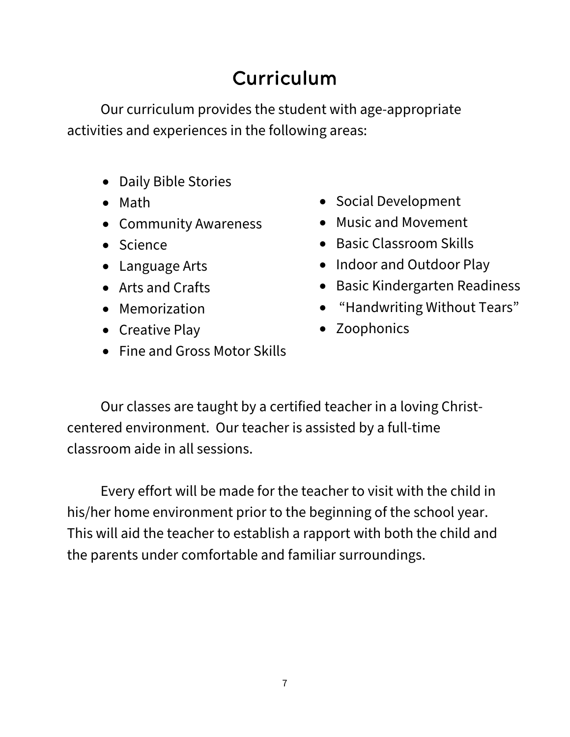## Curriculum

Our curriculum provides the student with age-appropriate activities and experiences in the following areas:

- Daily Bible Stories
- Math
- Community Awareness
- Science
- Language Arts
- Arts and Crafts
- Memorization
- Creative Play
- Fine and Gross Motor Skills
- Social Development
- Music and Movement
- Basic Classroom Skills
- Indoor and Outdoor Play
- Basic Kindergarten Readiness
- "Handwriting Without Tears"
- Zoophonics

Our classes are taught by a certified teacher in a loving Christcentered environment. Our teacher is assisted by a full-time classroom aide in all sessions.

Every effort will be made for the teacher to visit with the child in his/her home environment prior to the beginning of the school year. This will aid the teacher to establish a rapport with both the child and the parents under comfortable and familiar surroundings.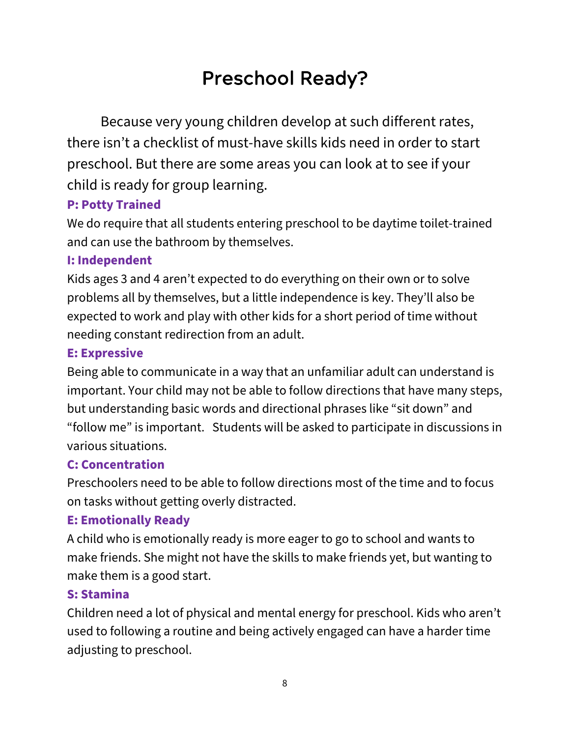### Preschool Ready?

Because very young children develop at such different rates, there isn't a checklist of must-have skills kids need in order to start preschool. But there are some areas you can look at to see if your child is ready for group learning.

#### **P: Potty Trained**

We do require that all students entering preschool to be daytime toilet-trained and can use the bathroom by themselves.

#### **I: Independent**

Kids ages 3 and 4 aren't expected to do everything on their own or to solve problems all by themselves, but a little independence is key. They'll also be expected to work and play with other kids for a short period of time without needing constant redirection from an adult.

#### **E: Expressive**

Being able to communicate in a way that an unfamiliar adult can understand is important. Your child may not be able to follow directions that have many steps, but understanding basic words and directional phrases like "sit down" and "follow me" is important. Students will be asked to participate in discussions in various situations.

#### **C: Concentration**

Preschoolers need to be able to follow directions most of the time and to focus on tasks without getting overly distracted.

#### **E: Emotionally Ready**

A child who is emotionally ready is more eager to go to school and wants to make friends. She might not have the skills to make friends yet, but wanting to make them is a good start.

#### **S: Stamina**

Children need a lot of physical and mental energy for preschool. Kids who aren't used to following a routine and being actively engaged can have a harder time adjusting to preschool.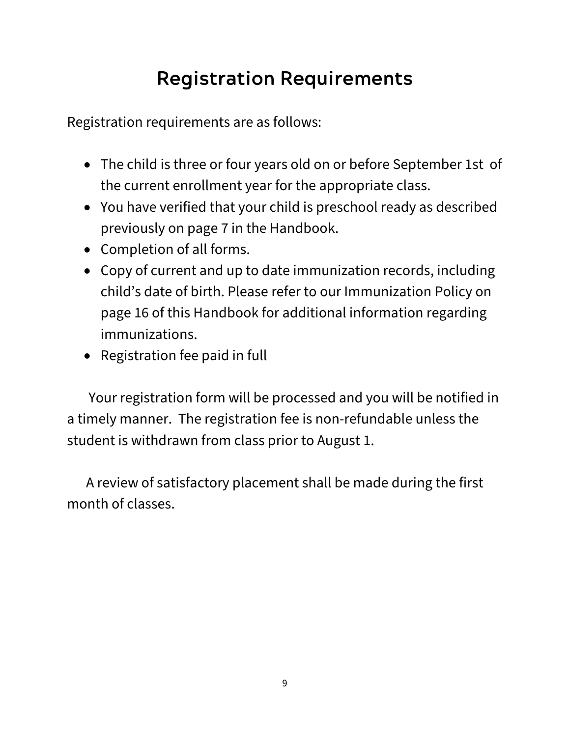# Registration Requirements

Registration requirements are as follows:

- The child is three or four years old on or before September 1st of the current enrollment year for the appropriate class.
- You have verified that your child is preschool ready as described previously on page 7 in the Handbook.
- Completion of all forms.
- Copy of current and up to date immunization records, including child's date of birth. Please refer to our Immunization Policy on page 16 of this Handbook for additional information regarding immunizations.
- Registration fee paid in full

 Your registration form will be processed and you will be notified in a timely manner. The registration fee is non-refundable unless the student is withdrawn from class prior to August 1.

A review of satisfactory placement shall be made during the first month of classes.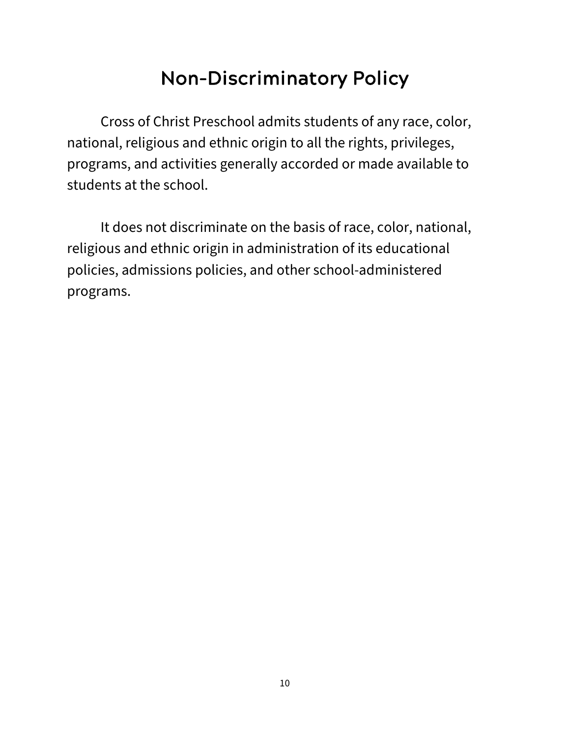### Non-Discriminatory Policy

Cross of Christ Preschool admits students of any race, color, national, religious and ethnic origin to all the rights, privileges, programs, and activities generally accorded or made available to students at the school.

It does not discriminate on the basis of race, color, national, religious and ethnic origin in administration of its educational policies, admissions policies, and other school-administered programs.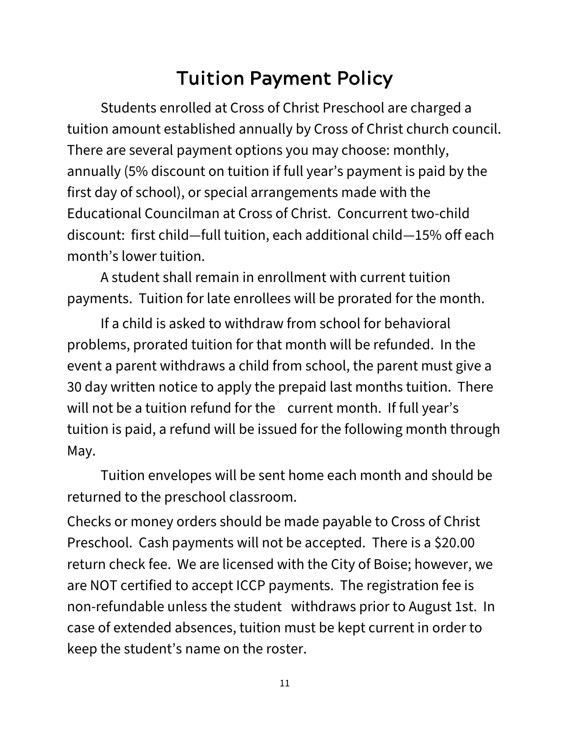### Tuition Payment Policy

Students enrolled at Cross of Christ Preschool are charged a tuition amount established annually by Cross of Christ church council. There are several payment options you may choose: monthly, annually (5% discount on tuition if full year's payment is paid by the first day of school), or special arrangements made with the Educational Councilman at Cross of Christ. Concurrent two-child discount: first child—full tuition, each additional child—15% off each month's lower tuition.

A student shall remain in enrollment with current tuition payments. Tuition for late enrollees will be prorated for the month.

If a child is asked to withdraw from school for behavioral problems, prorated tuition for that month will be refunded. In the event a parent withdraws a child from school, the parent must give a 30 day written notice to apply the prepaid last months tuition. There will not be a tuition refund for the current month. If full year's tuition is paid, a refund will be issued for the following month through May.

Tuition envelopes will be sent home each month and should be returned to the preschool classroom.

Checks or money orders should be made payable to Cross of Christ Preschool. Cash payments will not be accepted. There is a \$20.00 return check fee. We are licensed with the City of Boise; however, we are NOT certified to accept ICCP payments. The registration fee is non-refundable unless the student withdraws prior to August 1st. In case of extended absences, tuition must be kept current in order to keep the student's name on the roster.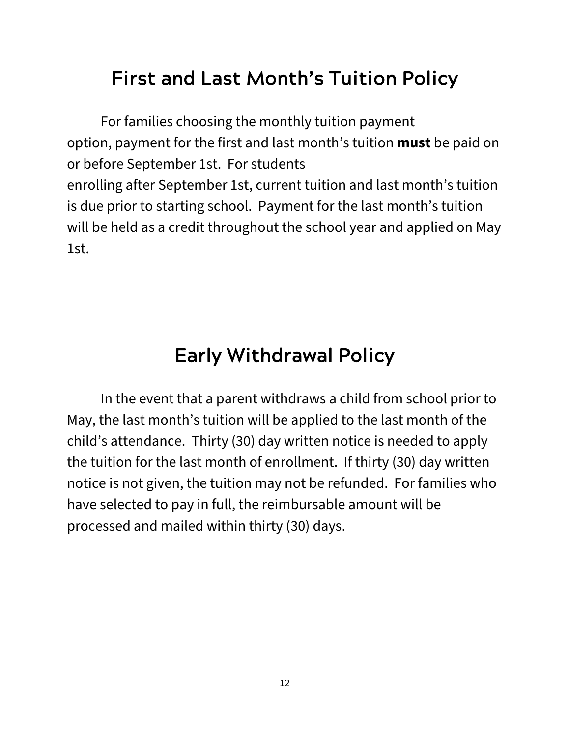#### First and Last Month's Tuition Policy

For families choosing the monthly tuition payment option, payment for the first and last month's tuition **must** be paid on or before September 1st. For students enrolling after September 1st, current tuition and last month's tuition is due prior to starting school. Payment for the last month's tuition will be held as a credit throughout the school year and applied on May 1st.

### Early Withdrawal Policy

In the event that a parent withdraws a child from school prior to May, the last month's tuition will be applied to the last month of the child's attendance. Thirty (30) day written notice is needed to apply the tuition for the last month of enrollment. If thirty (30) day written notice is not given, the tuition may not be refunded. For families who have selected to pay in full, the reimbursable amount will be processed and mailed within thirty (30) days.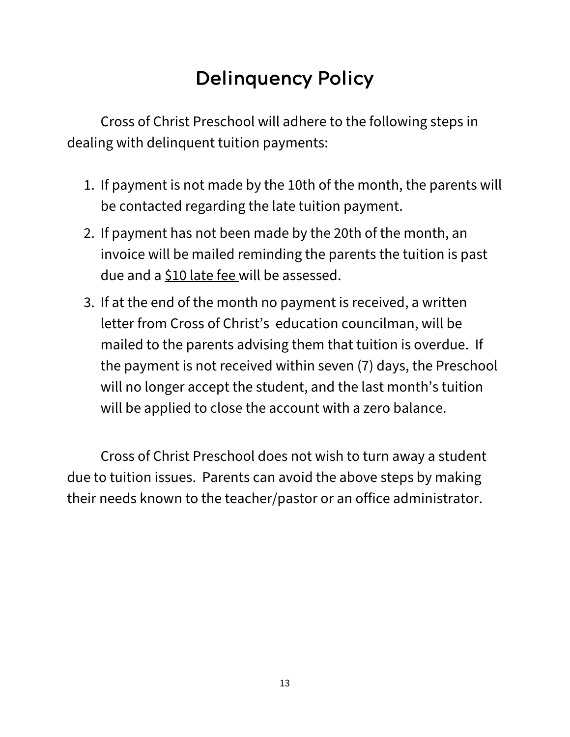## Delinquency Policy

Cross of Christ Preschool will adhere to the following steps in dealing with delinquent tuition payments:

- 1. If payment is not made by the 10th of the month, the parents will be contacted regarding the late tuition payment.
- 2. If payment has not been made by the 20th of the month, an invoice will be mailed reminding the parents the tuition is past due and a \$10 late fee will be assessed.
- 3. If at the end of the month no payment is received, a written letter from Cross of Christ's education councilman, will be mailed to the parents advising them that tuition is overdue. If the payment is not received within seven (7) days, the Preschool will no longer accept the student, and the last month's tuition will be applied to close the account with a zero balance.

Cross of Christ Preschool does not wish to turn away a student due to tuition issues. Parents can avoid the above steps by making their needs known to the teacher/pastor or an office administrator.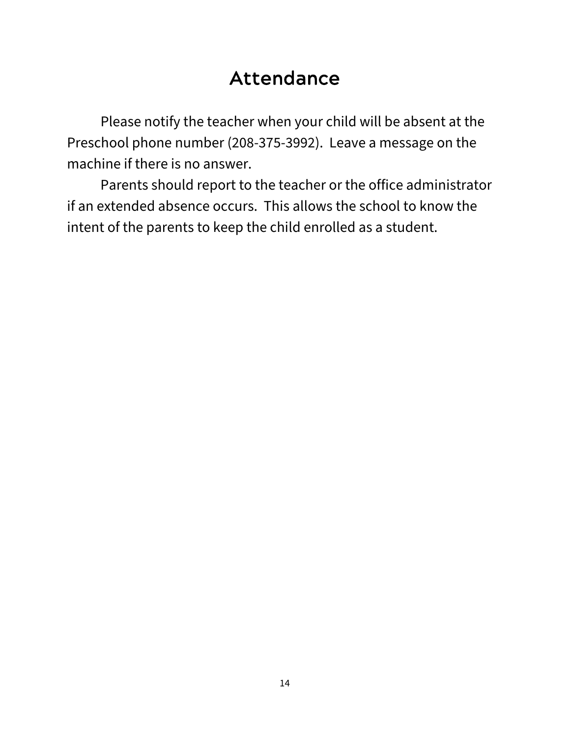#### Attendance

Please notify the teacher when your child will be absent at the Preschool phone number (208-375-3992). Leave a message on the machine if there is no answer.

Parents should report to the teacher or the office administrator if an extended absence occurs. This allows the school to know the intent of the parents to keep the child enrolled as a student.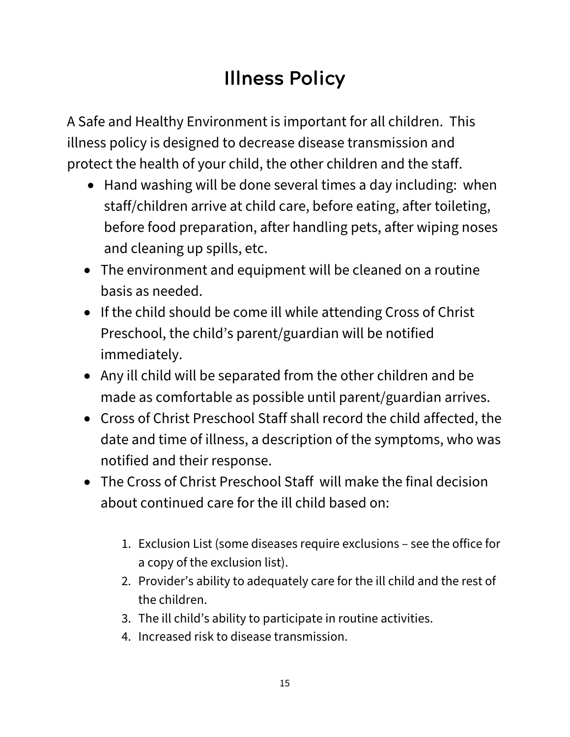# Illness Policy

A Safe and Healthy Environment is important for all children. This illness policy is designed to decrease disease transmission and protect the health of your child, the other children and the staff.

- Hand washing will be done several times a day including: when staff/children arrive at child care, before eating, after toileting, before food preparation, after handling pets, after wiping noses and cleaning up spills, etc.
- The environment and equipment will be cleaned on a routine basis as needed.
- If the child should be come ill while attending Cross of Christ Preschool, the child's parent/guardian will be notified immediately.
- Any ill child will be separated from the other children and be made as comfortable as possible until parent/guardian arrives.
- Cross of Christ Preschool Staff shall record the child affected, the date and time of illness, a description of the symptoms, who was notified and their response.
- The Cross of Christ Preschool Staff will make the final decision about continued care for the ill child based on:
	- 1. Exclusion List (some diseases require exclusions see the office for a copy of the exclusion list).
	- 2. Provider's ability to adequately care for the ill child and the rest of the children.
	- 3. The ill child's ability to participate in routine activities.
	- 4. Increased risk to disease transmission.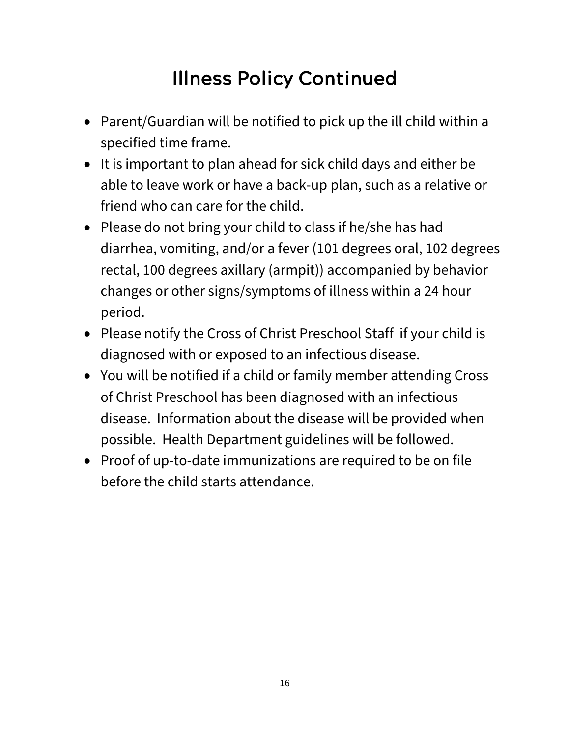## Illness Policy Continued

- Parent/Guardian will be notified to pick up the ill child within a specified time frame.
- It is important to plan ahead for sick child days and either be able to leave work or have a back-up plan, such as a relative or friend who can care for the child.
- Please do not bring your child to class if he/she has had diarrhea, vomiting, and/or a fever (101 degrees oral, 102 degrees rectal, 100 degrees axillary (armpit)) accompanied by behavior changes or other signs/symptoms of illness within a 24 hour period.
- Please notify the Cross of Christ Preschool Staff if your child is diagnosed with or exposed to an infectious disease.
- You will be notified if a child or family member attending Cross of Christ Preschool has been diagnosed with an infectious disease. Information about the disease will be provided when possible. Health Department guidelines will be followed.
- Proof of up-to-date immunizations are required to be on file before the child starts attendance.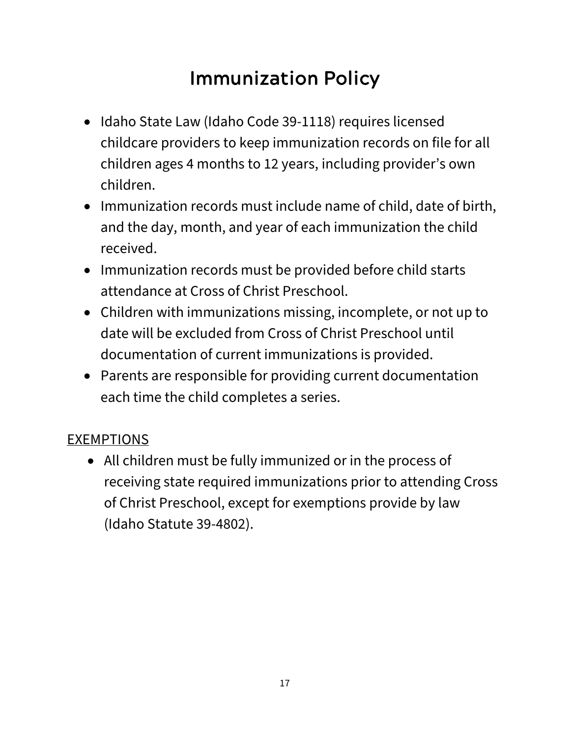# Immunization Policy

- Idaho State Law (Idaho Code 39-1118) requires licensed childcare providers to keep immunization records on file for all children ages 4 months to 12 years, including provider's own children.
- Immunization records must include name of child, date of birth, and the day, month, and year of each immunization the child received.
- Immunization records must be provided before child starts attendance at Cross of Christ Preschool.
- Children with immunizations missing, incomplete, or not up to date will be excluded from Cross of Christ Preschool until documentation of current immunizations is provided.
- Parents are responsible for providing current documentation each time the child completes a series.

#### EXEMPTIONS

• All children must be fully immunized or in the process of receiving state required immunizations prior to attending Cross of Christ Preschool, except for exemptions provide by law (Idaho Statute 39-4802).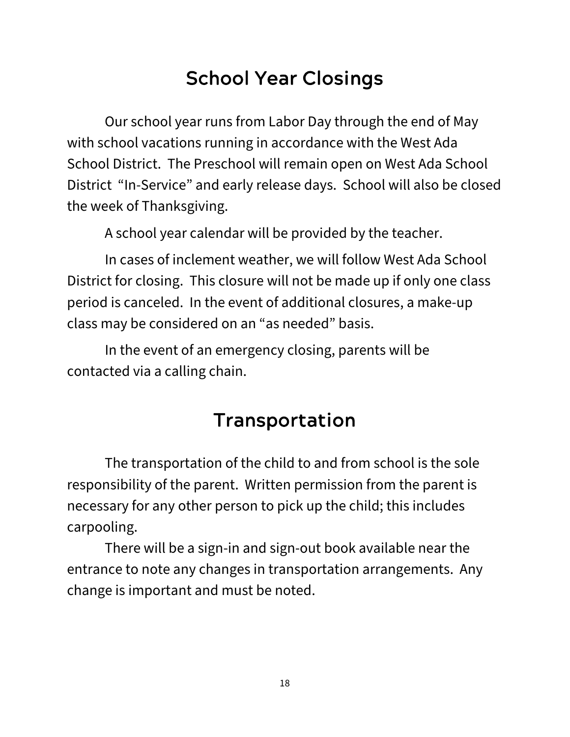### School Year Closings

Our school year runs from Labor Day through the end of May with school vacations running in accordance with the West Ada School District. The Preschool will remain open on West Ada School District "In-Service" and early release days. School will also be closed the week of Thanksgiving.

A school year calendar will be provided by the teacher.

In cases of inclement weather, we will follow West Ada School District for closing. This closure will not be made up if only one class period is canceled. In the event of additional closures, a make-up class may be considered on an "as needed" basis.

In the event of an emergency closing, parents will be contacted via a calling chain.

### Transportation

The transportation of the child to and from school is the sole responsibility of the parent. Written permission from the parent is necessary for any other person to pick up the child; this includes carpooling.

There will be a sign-in and sign-out book available near the entrance to note any changes in transportation arrangements. Any change is important and must be noted.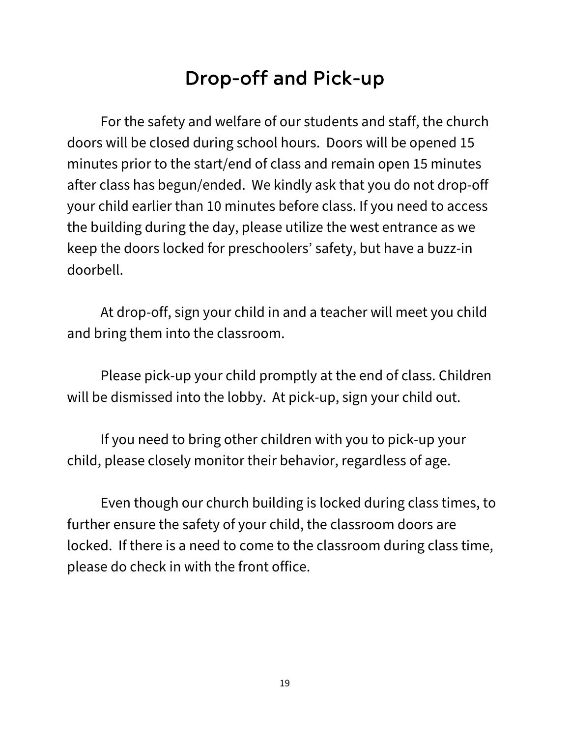### Drop-off and Pick-up

For the safety and welfare of our students and staff, the church doors will be closed during school hours. Doors will be opened 15 minutes prior to the start/end of class and remain open 15 minutes after class has begun/ended. We kindly ask that you do not drop-off your child earlier than 10 minutes before class. If you need to access the building during the day, please utilize the west entrance as we keep the doors locked for preschoolers' safety, but have a buzz-in doorbell.

At drop-off, sign your child in and a teacher will meet you child and bring them into the classroom.

Please pick-up your child promptly at the end of class. Children will be dismissed into the lobby. At pick-up, sign your child out.

If you need to bring other children with you to pick-up your child, please closely monitor their behavior, regardless of age.

Even though our church building is locked during class times, to further ensure the safety of your child, the classroom doors are locked. If there is a need to come to the classroom during class time, please do check in with the front office.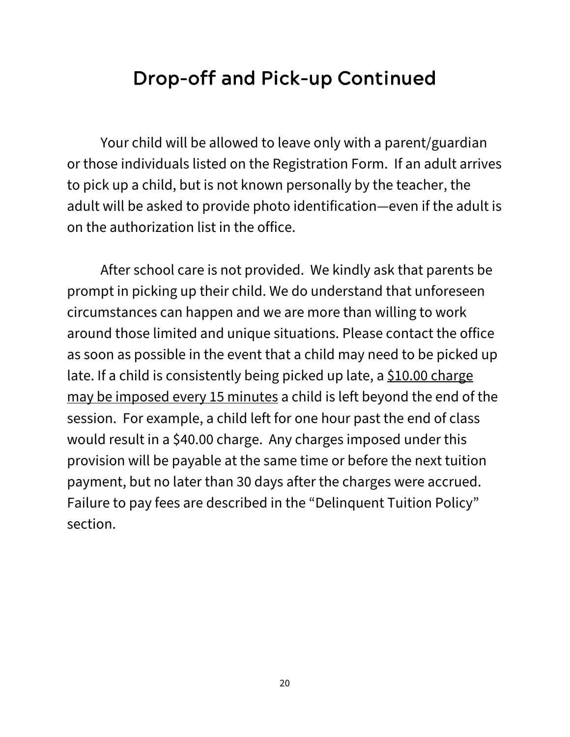#### Drop-off and Pick-up Continued

Your child will be allowed to leave only with a parent/guardian or those individuals listed on the Registration Form. If an adult arrives to pick up a child, but is not known personally by the teacher, the adult will be asked to provide photo identification—even if the adult is on the authorization list in the office.

After school care is not provided. We kindly ask that parents be prompt in picking up their child. We do understand that unforeseen circumstances can happen and we are more than willing to work around those limited and unique situations. Please contact the office as soon as possible in the event that a child may need to be picked up late. If a child is consistently being picked up late, a  $$10.00$  charge may be imposed every 15 minutes a child is left beyond the end of the session. For example, a child left for one hour past the end of class would result in a \$40.00 charge. Any charges imposed under this provision will be payable at the same time or before the next tuition payment, but no later than 30 days after the charges were accrued. Failure to pay fees are described in the "Delinquent Tuition Policy" section.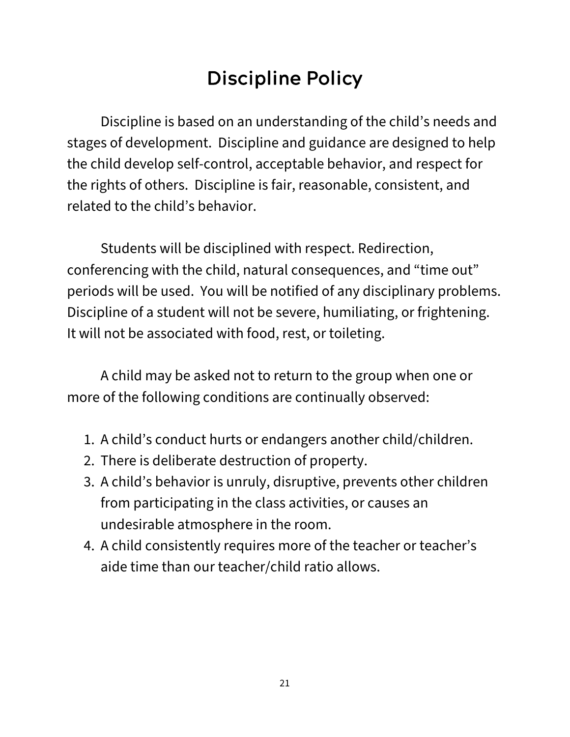## Discipline Policy

Discipline is based on an understanding of the child's needs and stages of development. Discipline and guidance are designed to help the child develop self-control, acceptable behavior, and respect for the rights of others. Discipline is fair, reasonable, consistent, and related to the child's behavior.

Students will be disciplined with respect. Redirection, conferencing with the child, natural consequences, and "time out" periods will be used. You will be notified of any disciplinary problems. Discipline of a student will not be severe, humiliating, or frightening. It will not be associated with food, rest, or toileting.

A child may be asked not to return to the group when one or more of the following conditions are continually observed:

- 1. A child's conduct hurts or endangers another child/children.
- 2. There is deliberate destruction of property.
- 3. A child's behavior is unruly, disruptive, prevents other children from participating in the class activities, or causes an undesirable atmosphere in the room.
- 4. A child consistently requires more of the teacher or teacher's aide time than our teacher/child ratio allows.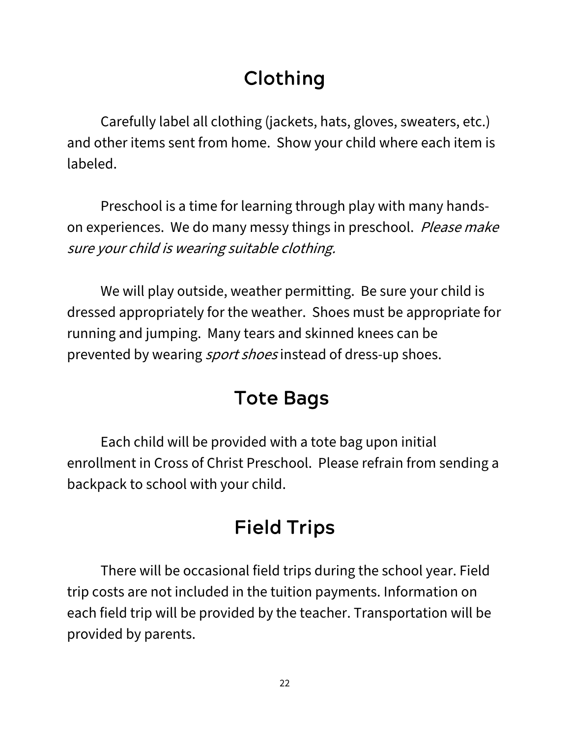# Clothing

Carefully label all clothing (jackets, hats, gloves, sweaters, etc.) and other items sent from home. Show your child where each item is labeled.

Preschool is a time for learning through play with many handson experiences. We do many messy things in preschool. Please make sure your child is wearing suitable clothing.

We will play outside, weather permitting. Be sure your child is dressed appropriately for the weather. Shoes must be appropriate for running and jumping. Many tears and skinned knees can be prevented by wearing *sport shoes* instead of dress-up shoes.

### Tote Bags

Each child will be provided with a tote bag upon initial enrollment in Cross of Christ Preschool. Please refrain from sending a backpack to school with your child.

# Field Trips

There will be occasional field trips during the school year. Field trip costs are not included in the tuition payments. Information on each field trip will be provided by the teacher. Transportation will be provided by parents.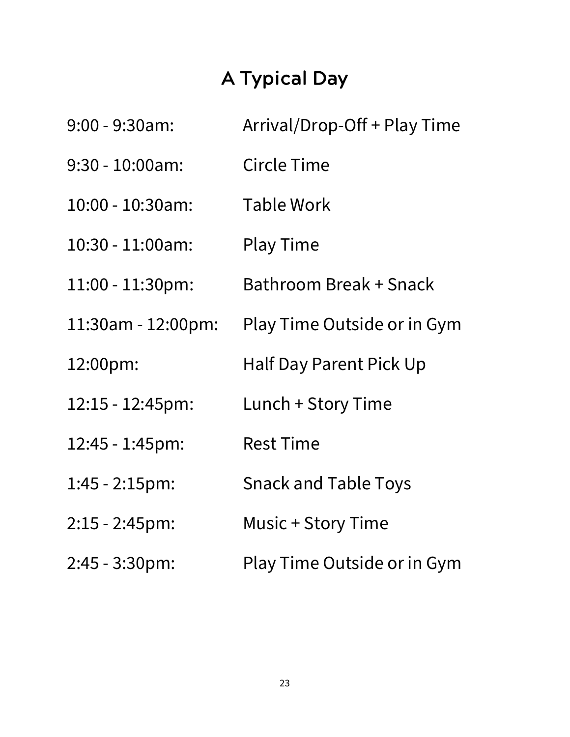# A Typical Day

| $9:00 - 9:30$ am:   | Arrival/Drop-Off + Play Time |  |
|---------------------|------------------------------|--|
| $9:30 - 10:00$ am:  | <b>Circle Time</b>           |  |
| $10:00 - 10:30$ am: | Table Work                   |  |
| 10:30 - 11:00am:    | <b>Play Time</b>             |  |
| 11:00 - 11:30pm:    | Bathroom Break + Snack       |  |
| 11:30am - 12:00pm:  | Play Time Outside or in Gym  |  |
| 12:00pm:            | Half Day Parent Pick Up      |  |
| 12:15 - 12:45pm:    | Lunch + Story Time           |  |
| 12:45 - 1:45pm:     | <b>Rest Time</b>             |  |
| 1:45 - 2:15pm:      | <b>Snack and Table Toys</b>  |  |
| $2:15 - 2:45$ pm:   | Music + Story Time           |  |
| $2:45 - 3:30$ pm:   | Play Time Outside or in Gym  |  |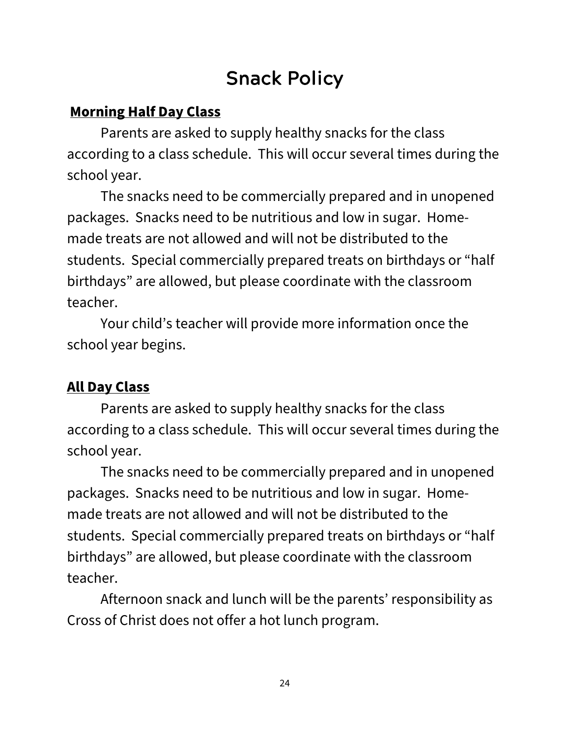### Snack Policy

#### **Morning Half Day Class**

Parents are asked to supply healthy snacks for the class according to a class schedule. This will occur several times during the school year.

The snacks need to be commercially prepared and in unopened packages. Snacks need to be nutritious and low in sugar. Homemade treats are not allowed and will not be distributed to the students. Special commercially prepared treats on birthdays or "half birthdays" are allowed, but please coordinate with the classroom teacher.

Your child's teacher will provide more information once the school year begins.

#### **All Day Class**

Parents are asked to supply healthy snacks for the class according to a class schedule. This will occur several times during the school year.

The snacks need to be commercially prepared and in unopened packages. Snacks need to be nutritious and low in sugar. Homemade treats are not allowed and will not be distributed to the students. Special commercially prepared treats on birthdays or "half birthdays" are allowed, but please coordinate with the classroom teacher.

Afternoon snack and lunch will be the parents' responsibility as Cross of Christ does not offer a hot lunch program.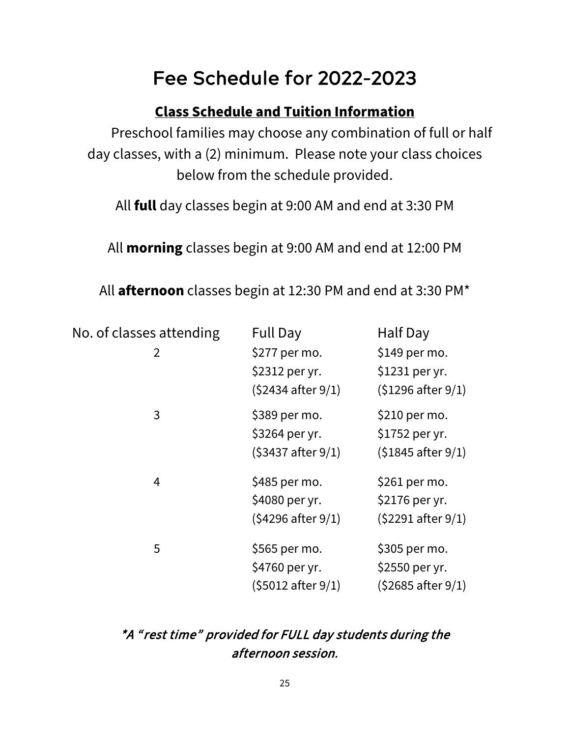### Fee Schedule for 2022-2023

#### **Class Schedule and Tuition Information**

Preschool families may choose any combination of full or half day classes, with a (2) minimum. Please note your class choices below from the schedule provided.

All **full** day classes begin at 9:00 AM and end at 3:30 PM

All **morning** classes begin at 9:00 AM and end at 12:00 PM

All **afternoon** classes begin at 12:30 PM and end at 3:30 PM\*

| No. of classes attending | <b>Full Day</b>              | Half Day                     |
|--------------------------|------------------------------|------------------------------|
| 2                        | \$277 per mo.                | \$149 per mo.                |
|                          | \$2312 per yr.               | \$1231 per yr.               |
|                          | $(52434$ after $9/1)$        | $(51296$ after $9/1)$        |
| 3                        | \$389 per mo.                | \$210 per mo.                |
|                          | \$3264 per yr.               | \$1752 per yr.               |
|                          | $(53437 \text{ after } 9/1)$ | $(51845$ after $9/1)$        |
| 4                        | \$485 per mo.                | \$261 per mo.                |
|                          | \$4080 per yr.               | \$2176 per yr.               |
|                          | $(54296$ after $9/1)$        | $(52291$ after $9/1)$        |
| 5                        | \$565 per mo.                | \$305 per mo.                |
|                          | \$4760 per yr.               | \$2550 per yr.               |
|                          | $(55012$ after $9/1)$        | $(52685 \text{ after } 9/1)$ |

#### \*A " rest time" provided for FULL day students during the afternoon session.